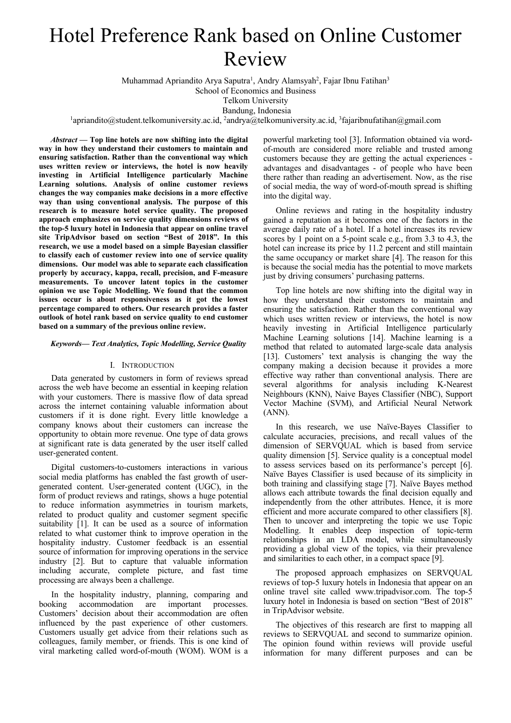# Hotel Preference Rank based on Online Customer Review

Muhammad Apriandito Arya Saputra<sup>1</sup>, Andry Alamsyah<sup>2</sup>, Fajar Ibnu Fatihan<sup>3</sup>

School of Economics and Business

Telkom University

Bandung, Indonesia

<sup>1</sup>apriandito@student.telkomuniversity.ac.id, <sup>2</sup>andrya@telkomuniversity.ac.id, <sup>3</sup>fajaribnufatihan@gmail.com

*Abstract* **— Top line hotels are now shifting into the digital way in how they understand their customers to maintain and ensuring satisfaction. Rather than the conventional way which uses written review or interviews, the hotel is now heavily investing in Artificial Intelligence particularly Machine Learning solutions. Analysis of online customer reviews changes the way companies make decisions in a more effective way than using conventional analysis. The purpose of this research is to measure hotel service quality. The proposed approach emphasizes on service quality dimensions reviews of the top-5 luxury hotel in Indonesia that appear on online travel site TripAdvisor based on section "Best of 2018". In this research, we use a model based on a simple Bayesian classifier to classify each of customer review into one of service quality dimensions. Our model was able to separate each classification properly by accuracy, kappa, recall, precision, and F-measure measurements. To uncover latent topics in the customer opinion we use Topic Modelling. We found that the common issues occur is about responsiveness as it got the lowest percentage compared to others. Our research provides a faster outlook of hotel rank based on service quality to end customer based on a summary of the previous online review.**

## *Keywords— Text Analytics, Topic Modelling, Service Quality*

### I. INTRODUCTION

Data generated by customers in form of reviews spread across the web have become an essential in keeping relation with your customers. There is massive flow of data spread across the internet containing valuable information about customers if it is done right. Every little knowledge a company knows about their customers can increase the opportunity to obtain more revenue. One type of data grows at significant rate is data generated by the user itself called user-generated content.

Digital customers-to-customers interactions in various social media platforms has enabled the fast growth of usergenerated content. User-generated content (UGC), in the form of product reviews and ratings, shows a huge potential to reduce information asymmetries in tourism markets, related to product quality and customer segment specific suitability [1]. It can be used as a source of information related to what customer think to improve operation in the hospitality industry. Customer feedback is an essential source of information for improving operations in the service industry [2]. But to capture that valuable information including accurate, complete picture, and fast time processing are always been a challenge.

In the hospitality industry, planning, comparing and booking accommodation are important processes. Customers' decision about their accommodation are often influenced by the past experience of other customers. Customers usually get advice from their relations such as colleagues, family member, or friends. This is one kind of viral marketing called word-of-mouth (WOM). WOM is a

powerful marketing tool [3]. Information obtained via wordof-mouth are considered more reliable and trusted among customers because they are getting the actual experiences advantages and disadvantages - of people who have been there rather than reading an advertisement. Now, as the rise of social media, the way of word-of-mouth spread is shifting into the digital way.

Online reviews and rating in the hospitality industry gained a reputation as it becomes one of the factors in the average daily rate of a hotel. If a hotel increases its review scores by 1 point on a 5-point scale e.g., from 3.3 to 4.3, the hotel can increase its price by 11.2 percent and still maintain the same occupancy or market share [4]. The reason for this is because the social media has the potential to move markets just by driving consumers' purchasing patterns.

Top line hotels are now shifting into the digital way in how they understand their customers to maintain and ensuring the satisfaction. Rather than the conventional way which uses written review or interviews, the hotel is now heavily investing in Artificial Intelligence particularly Machine Learning solutions [14]. Machine learning is a method that related to automated large-scale data analysis [13]. Customers' text analysis is changing the way the company making a decision because it provides a more effective way rather than conventional analysis. There are several algorithms for analysis including K-Nearest Neighbours (KNN), Naive Bayes Classifier (NBC), Support Vector Machine (SVM), and Artificial Neural Network (ANN).

In this research, we use Naïve-Bayes Classifier to calculate accuracies, precisions, and recall values of the dimension of SERVQUAL which is based from service quality dimension [5]. Service quality is a conceptual model to assess services based on its performance's percept [6]. Naïve Bayes Classifier is used because of its simplicity in both training and classifying stage [7]. Naïve Bayes method allows each attribute towards the final decision equally and independently from the other attributes. Hence, it is more efficient and more accurate compared to other classifiers [8]. Then to uncover and interpreting the topic we use Topic Modelling. It enables deep inspection of topic-term relationships in an LDA model, while simultaneously providing a global view of the topics, via their prevalence and similarities to each other, in a compact space [9].

The proposed approach emphasizes on SERVQUAL reviews of top-5 luxury hotels in Indonesia that appear on an online travel site called www.tripadvisor.com. The top-5 luxury hotel in Indonesia is based on section "Best of 2018" in TripAdvisor website.

The objectives of this research are first to mapping all reviews to SERVQUAL and second to summarize opinion. The opinion found within reviews will provide useful information for many different purposes and can be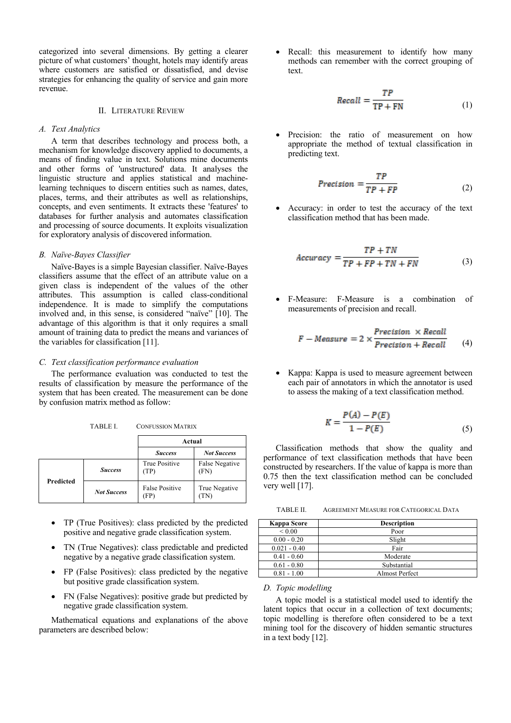categorized into several dimensions. By getting a clearer picture of what customers' thought, hotels may identify areas where customers are satisfied or dissatisfied, and devise strategies for enhancing the quality of service and gain more revenue.

# II. LITERATURE REVIEW

### *A. Text Analytics*

A term that describes technology and process both, a mechanism for knowledge discovery applied to documents, a means of finding value in text. Solutions mine documents and other forms of 'unstructured' data. It analyses the linguistic structure and applies statistical and machinelearning techniques to discern entities such as names, dates, places, terms, and their attributes as well as relationships, concepts, and even sentiments. It extracts these 'features' to databases for further analysis and automates classification and processing of source documents. It exploits visualization for exploratory analysis of discovered information.

## *B. Naïve-Bayes Classifier*

Naïve-Bayes is a simple Bayesian classifier. Naïve-Bayes classifiers assume that the effect of an attribute value on a given class is independent of the values of the other attributes. This assumption is called class-conditional independence. It is made to simplify the computations involved and, in this sense, is considered "naïve" [10]. The advantage of this algorithm is that it only requires a small amount of training data to predict the means and variances of the variables for classification [11].

# *C. Text classification performance evaluation*

The performance evaluation was conducted to test the results of classification by measure the performance of the system that has been created. The measurement can be done by confusion matrix method as follow:

|                  |                    | Actual                       |                        |  |
|------------------|--------------------|------------------------------|------------------------|--|
|                  |                    | <b>Success</b>               | <b>Not Success</b>     |  |
| <b>Predicted</b> | <b>Success</b>     | True Positive<br>(TP)        | False Negative<br>(FN) |  |
|                  | <b>Not Success</b> | <b>False Positive</b><br>FP) | True Negative          |  |

TABLE I. CONFUSSION MATRIX

- TP (True Positives): class predicted by the predicted positive and negative grade classification system.
- TN (True Negatives): class predictable and predicted negative by a negative grade classification system.
- FP (False Positives): class predicted by the negative but positive grade classification system.
- FN (False Negatives): positive grade but predicted by negative grade classification system.

Mathematical equations and explanations of the above parameters are described below:

• Recall: this measurement to identify how many methods can remember with the correct grouping of text.

$$
Recall = \frac{TP}{TP + FN}
$$
 (1)

Precision: the ratio of measurement on how appropriate the method of textual classification in predicting text.

$$
Precision = \frac{TP}{TP + FP}
$$
 (2)

• Accuracy: in order to test the accuracy of the text classification method that has been made.

$$
Accuracy = \frac{TP + TN}{TP + FP + TN + FN}
$$
 (3)

• F-Measure: F-Measure is a combination of measurements of precision and recall.

$$
F-Measure = 2 \times \frac{Precision \times Recall}{Precision + Recall} \tag{4}
$$

Kappa: Kappa is used to measure agreement between each pair of annotators in which the annotator is used to assess the making of a text classification method.

$$
K = \frac{P(A) - P(E)}{1 - P(E)}\tag{5}
$$

Classification methods that show the quality and performance of text classification methods that have been constructed by researchers. If the value of kappa is more than 0.75 then the text classification method can be concluded very well [17].

TABLE II. AGREEMENT MEASURE FOR CATEGORICAL DATA

| Kappa Score    | <b>Description</b> |
|----------------|--------------------|
| ${}< 0.00$     | Poor               |
| $0.00 - 0.20$  | Slight             |
| $0.021 - 0.40$ | Fair               |
| $0.41 - 0.60$  | Moderate           |
| $0.61 - 0.80$  | Substantial        |
| $0.81 - 1.00$  | Almost Perfect     |

### *D. Topic modelling*

A topic model is a statistical model used to identify the latent topics that occur in a collection of text documents; topic modelling is therefore often considered to be a text mining tool for the discovery of hidden semantic structures in a text body [12].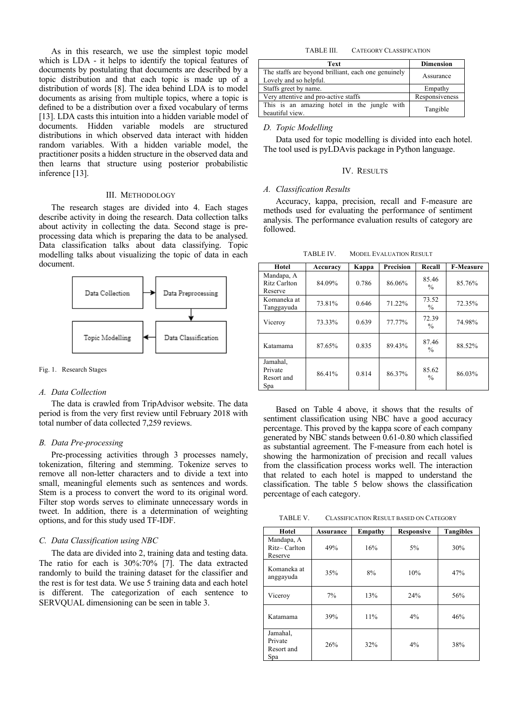As in this research, we use the simplest topic model which is LDA - it helps to identify the topical features of documents by postulating that documents are described by a topic distribution and that each topic is made up of a distribution of words [8]. The idea behind LDA is to model documents as arising from multiple topics, where a topic is defined to be a distribution over a fixed vocabulary of terms [13]. LDA casts this intuition into a hidden variable model of documents. Hidden variable models are structured distributions in which observed data interact with hidden random variables. With a hidden variable model, the practitioner posits a hidden structure in the observed data and then learns that structure using posterior probabilistic inference [13].

#### III. METHODOLOGY

The research stages are divided into 4. Each stages describe activity in doing the research. Data collection talks about activity in collecting the data. Second stage is preprocessing data which is preparing the data to be analysed. Data classification talks about data classifying. Topic modelling talks about visualizing the topic of data in each document.



Fig. 1. Research Stages

## *A. Data Collection*

The data is crawled from TripAdvisor website. The data period is from the very first review until February 2018 with total number of data collected 7,259 reviews.

#### *B. Data Pre-processing*

Pre-processing activities through 3 processes namely, tokenization, filtering and stemming. Tokenize serves to remove all non-letter characters and to divide a text into small, meaningful elements such as sentences and words. Stem is a process to convert the word to its original word. Filter stop words serves to eliminate unnecessary words in tweet. In addition, there is a determination of weighting options, and for this study used TF-IDF.

# *C. Data Classification using NBC*

The data are divided into 2, training data and testing data. The ratio for each is 30%:70% [7]. The data extracted randomly to build the training dataset for the classifier and the rest is for test data. We use 5 training data and each hotel is different. The categorization of each sentence to SERVQUAL dimensioning can be seen in table 3.

## TABLE III. CATEGORY CLASSIFICATION

| Text                                                                          | <b>Dimension</b> |
|-------------------------------------------------------------------------------|------------------|
| The staffs are beyond brilliant, each one genuinely<br>Lovely and so helpful. | Assurance        |
| Staffs greet by name.                                                         | Empathy          |
| Very attentive and pro-active staffs                                          | Responsiveness   |
| This is an amazing hotel in the jungle with<br>beautiful view.                | Tangible         |

*D. Topic Modelling*

Data used for topic modelling is divided into each hotel. The tool used is pyLDAvis package in Python language.

#### IV. RESULTS

## *A. Classification Results*

Accuracy, kappa, precision, recall and F-measure are methods used for evaluating the performance of sentiment analysis. The performance evaluation results of category are followed.

| Hotel                                    | Accuracy | Kappa | <b>Precision</b> | Recall                 | <b>F-Measure</b> |
|------------------------------------------|----------|-------|------------------|------------------------|------------------|
| Mandapa, A<br>Ritz Carlton<br>Reserve    | 84.09%   | 0.786 | 86.06%           | 85.46<br>$\frac{0}{0}$ | 85.76%           |
| Komaneka at<br>Tanggayuda                | 73.81%   | 0.646 | 71.22%           | 73.52<br>$\frac{0}{0}$ | 72.35%           |
| Viceroy                                  | 73.33%   | 0.639 | 77.77%           | 72.39<br>$\frac{0}{0}$ | 74.98%           |
| Katamama                                 | 87.65%   | 0.835 | 89.43%           | 87.46<br>$\frac{0}{0}$ | 88.52%           |
| Jamahal,<br>Private<br>Resort and<br>Spa | 86.41%   | 0.814 | 86.37%           | 85.62<br>$\frac{0}{0}$ | 86.03%           |

Based on Table 4 above, it shows that the results of sentiment classification using NBC have a good accuracy percentage. This proved by the kappa score of each company generated by NBC stands between 0.61-0.80 which classified as substantial agreement. The F-measure from each hotel is showing the harmonization of precision and recall values from the classification process works well. The interaction that related to each hotel is mapped to understand the classification. The table 5 below shows the classification percentage of each category.

TABLE V. CLASSIFICATION RESULT BASED ON CATEGORY

| Hotel                                    | <b>Assurance</b> | Empathy | <b>Responsive</b> | <b>Tangibles</b> |
|------------------------------------------|------------------|---------|-------------------|------------------|
| Mandapa, A<br>Ritz-Carlton<br>Reserve    | 49%              | 16%     | $5\%$             | 30%              |
| Komaneka at<br>anggayuda                 | 35%              | 8%      | 10%               | 47%              |
| Viceroy                                  | 7%               | 13%     | 24%               | 56%              |
| Katamama                                 | 39%              | 11%     | $4\%$             | 46%              |
| Jamahal.<br>Private<br>Resort and<br>Spa | 26%              | 32%     | $4\%$             | 38%              |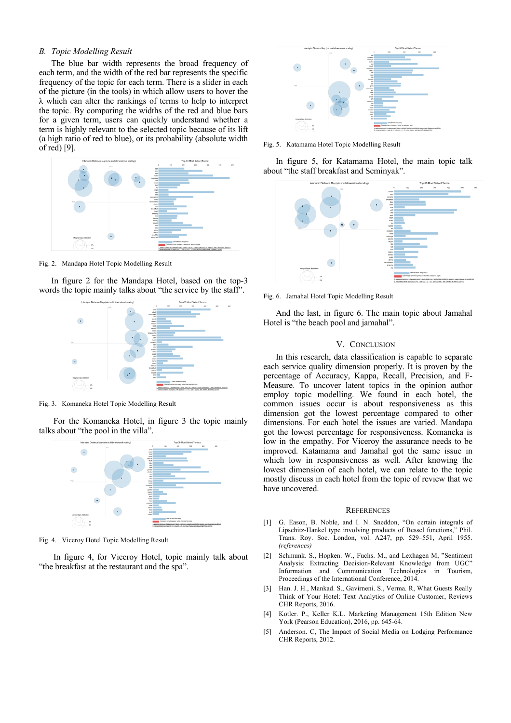# *B. Topic Modelling Result*

The blue bar width represents the broad frequency of each term, and the width of the red bar represents the specific frequency of the topic for each term. There is a slider in each of the picture (in the tools) in which allow users to hover the  $\lambda$  which can alter the rankings of terms to help to interpret the topic. By comparing the widths of the red and blue bars for a given term, users can quickly understand whether a term is highly relevant to the selected topic because of its lift (a high ratio of red to blue), or its probability (absolute width of red) [9].



Fig. 2. Mandapa Hotel Topic Modelling Result

In figure 2 for the Mandapa Hotel, based on the top-3 words the topic mainly talks about "the service by the staff".



Fig. 3. Komaneka Hotel Topic Modelling Result

For the Komaneka Hotel, in figure 3 the topic mainly talks about "the pool in the villa".



Fig. 4. Viceroy Hotel Topic Modelling Result

In figure 4, for Viceroy Hotel, topic mainly talk about "the breakfast at the restaurant and the spa".



Fig. 5. Katamama Hotel Topic Modelling Result

In figure 5, for Katamama Hotel, the main topic talk about "the staff breakfast and Seminyak".



Fig. 6. Jamahal Hotel Topic Modelling Result

And the last, in figure 6. The main topic about Jamahal Hotel is "the beach pool and jamahal".

# V. CONCLUSION

In this research, data classification is capable to separate each service quality dimension properly. It is proven by the percentage of Accuracy, Kappa, Recall, Precision, and F-Measure. To uncover latent topics in the opinion author employ topic modelling. We found in each hotel, the common issues occur is about responsiveness as this dimension got the lowest percentage compared to other dimensions. For each hotel the issues are varied. Mandapa got the lowest percentage for responsiveness. Komaneka is low in the empathy. For Viceroy the assurance needs to be improved. Katamama and Jamahal got the same issue in which low in responsiveness as well. After knowing the lowest dimension of each hotel, we can relate to the topic mostly discuss in each hotel from the topic of review that we have uncovered.

#### **REFERENCES**

- [1] G. Eason, B. Noble, and I. N. Sneddon, "On certain integrals of Lipschitz-Hankel type involving products of Bessel functions," Phil. Trans. Roy. Soc. London, vol. A247, pp. 529–551, April 1955. *(references)*
- [2] Schmunk. S., Hopken. W., Fuchs. M., and Lexhagen M, "Sentiment Analysis: Extracting Decision-Relevant Knowledge from UGC" Information and Communication Technologies in Tourism, Proceedings of the International Conference, 2014.
- [3] Han. J. H., Mankad. S., Gavirneni. S., Verma. R, What Guests Really Think of Your Hotel: Text Analytics of Online Customer, Reviews CHR Reports, 2016.
- [4] Kotler. P., Keller K.L. Marketing Management 15th Edition New York (Pearson Education), 2016, pp. 645-64.
- [5] Anderson. C, The Impact of Social Media on Lodging Performance CHR Reports, 2012.